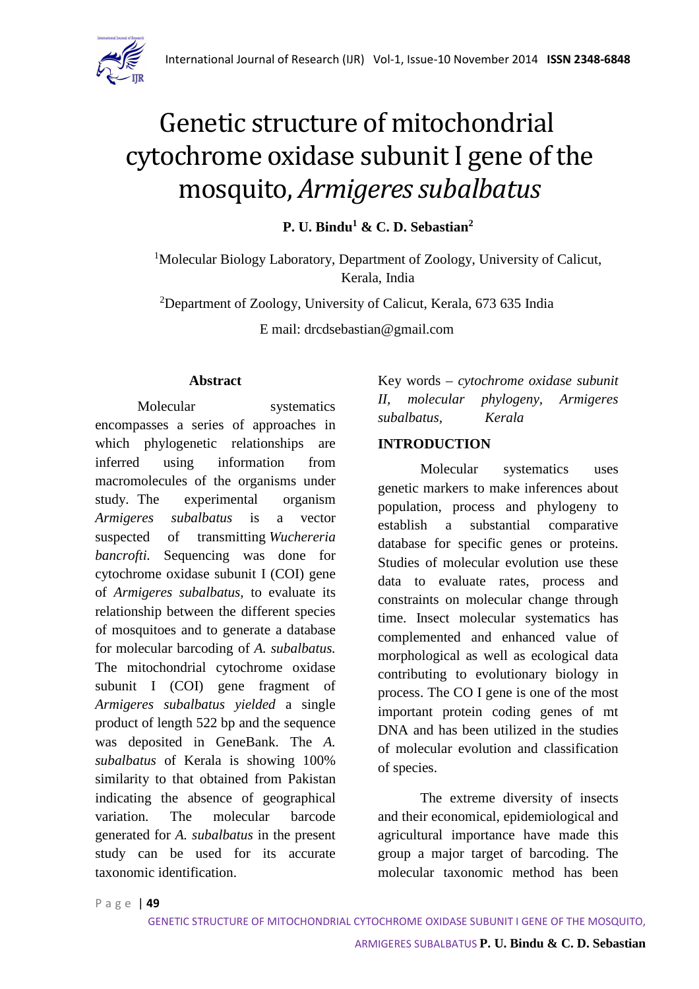

# Genetic structure of mitochondrial cytochrome oxidase subunit I gene of the mosquito, *Armigeres subalbatus*

**P. U. Bindu<sup>1</sup> & C. D. Sebastian<sup>2</sup>**

<sup>1</sup>Molecular Biology Laboratory, Department of Zoology, University of Calicut, Kerala, India

<sup>2</sup>Department of Zoology, University of Calicut, Kerala, 673 635 India

E mail: drcdsebastian@gmail.com

#### **Abstract**

Molecular systematics encompasses a series of approaches in which phylogenetic relationships are inferred using information from macromolecules of the organisms under study. The experimental organism *Armigeres subalbatus* is a vector suspected of transmitting *Wuchereria bancrofti.* Sequencing was done for cytochrome oxidase subunit I (COI) gene of *Armigeres subalbatus,* to evaluate its relationship between the different species of mosquitoes and to generate a database for molecular barcoding of *A. subalbatus.* The mitochondrial cytochrome oxidase subunit I (COI) gene fragment of *Armigeres subalbatus yielded* a single product of length 522 bp and the sequence was deposited in GeneBank. The *A. subalbatus* of Kerala is showing 100% similarity to that obtained from Pakistan indicating the absence of geographical variation. The molecular barcode generated for *A. subalbatus* in the present study can be used for its accurate taxonomic identification.

Key words – *cytochrome oxidase subunit II, molecular phylogeny, Armigeres subalbatus, Kerala* 

#### **INTRODUCTION**

Molecular systematics uses genetic markers to make inferences about population, process and phylogeny to establish a substantial comparative database for specific genes or proteins. Studies of molecular evolution use these data to evaluate rates, process and constraints on molecular change through time. Insect molecular systematics has complemented and enhanced value of morphological as well as ecological data contributing to evolutionary biology in process. The CO I gene is one of the most important protein coding genes of mt DNA and has been utilized in the studies of molecular evolution and classification of species.

The extreme diversity of insects and their economical, epidemiological and agricultural importance have made this group a major target of barcoding. The molecular taxonomic method has been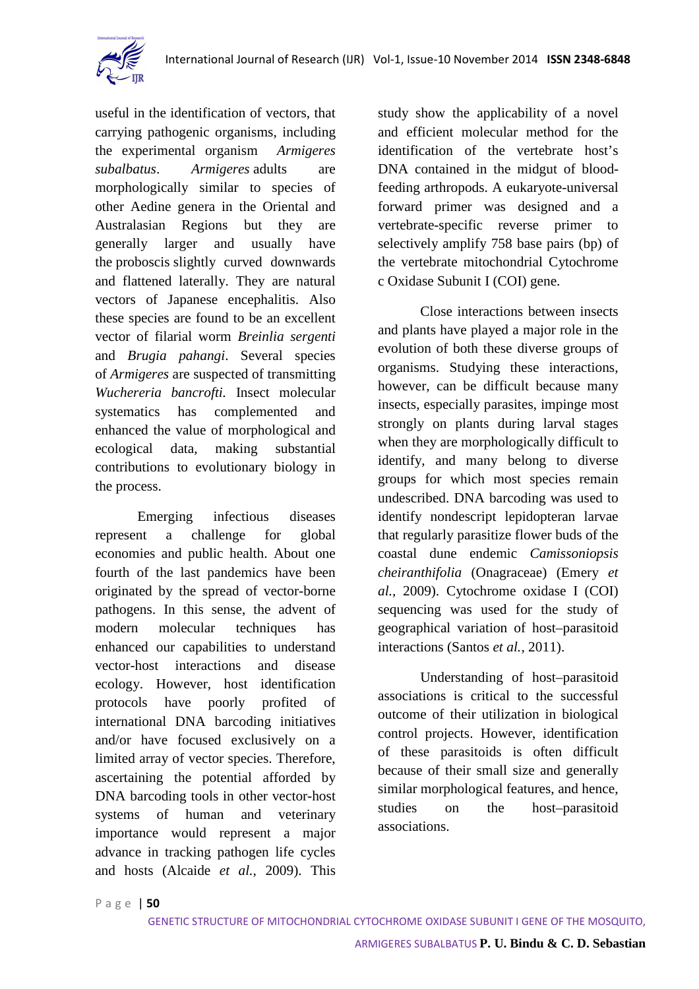

useful in the identification of vectors, that carrying pathogenic organisms, including the experimental organism *Armigeres subalbatus*. *Armigeres* adults are morphologically similar to species of other Aedine genera in the Oriental and Australasian Regions but they are generally larger and usually have the proboscis slightly curved downwards and flattened laterally. They are natural vectors of Japanese encephalitis. Also these species are found to be an excellent vector of filarial worm *Breinlia sergenti* and *Brugia pahangi*. Several species of *Armigeres* are suspected of transmitting *Wuchereria bancrofti.* Insect molecular systematics has complemented and enhanced the value of morphological and ecological data, making substantial contributions to evolutionary biology in the process.

Emerging infectious diseases represent a challenge for global economies and public health. About one fourth of the last pandemics have been originated by the spread of vector-borne pathogens. In this sense, the advent of modern molecular techniques has enhanced our capabilities to understand vector-host interactions and disease ecology. However, host identification protocols have poorly profited of international DNA barcoding initiatives and/or have focused exclusively on a limited array of vector species. Therefore, ascertaining the potential afforded by DNA barcoding tools in other vector-host systems of human and veterinary importance would represent a major advance in tracking pathogen life cycles and hosts (Alcaide *et al.,* 2009). This

study show the applicability of a novel and efficient molecular method for the identification of the vertebrate host's DNA contained in the midgut of bloodfeeding arthropods. A eukaryote-universal forward primer was designed and a vertebrate-specific reverse primer to selectively amplify 758 base pairs (bp) of the vertebrate mitochondrial Cytochrome c Oxidase Subunit I (COI) gene.

Close interactions between insects and plants have played a major role in the evolution of both these diverse groups of organisms. Studying these interactions, however, can be difficult because many insects, especially parasites, impinge most strongly on plants during larval stages when they are morphologically difficult to identify, and many belong to diverse groups for which most species remain undescribed. DNA barcoding was used to identify nondescript lepidopteran larvae that regularly parasitize flower buds of the coastal dune endemic *Camissoniopsis cheiranthifolia* (Onagraceae) (Emery *et al.,* 2009). Cytochrome oxidase I (COI) sequencing was used for the study of geographical variation of host–parasitoid interactions (Santos *et al.,* 2011).

Understanding of host–parasitoid associations is critical to the successful outcome of their utilization in biological control projects. However, identification of these parasitoids is often difficult because of their small size and generally similar morphological features, and hence, studies on the host–parasitoid associations.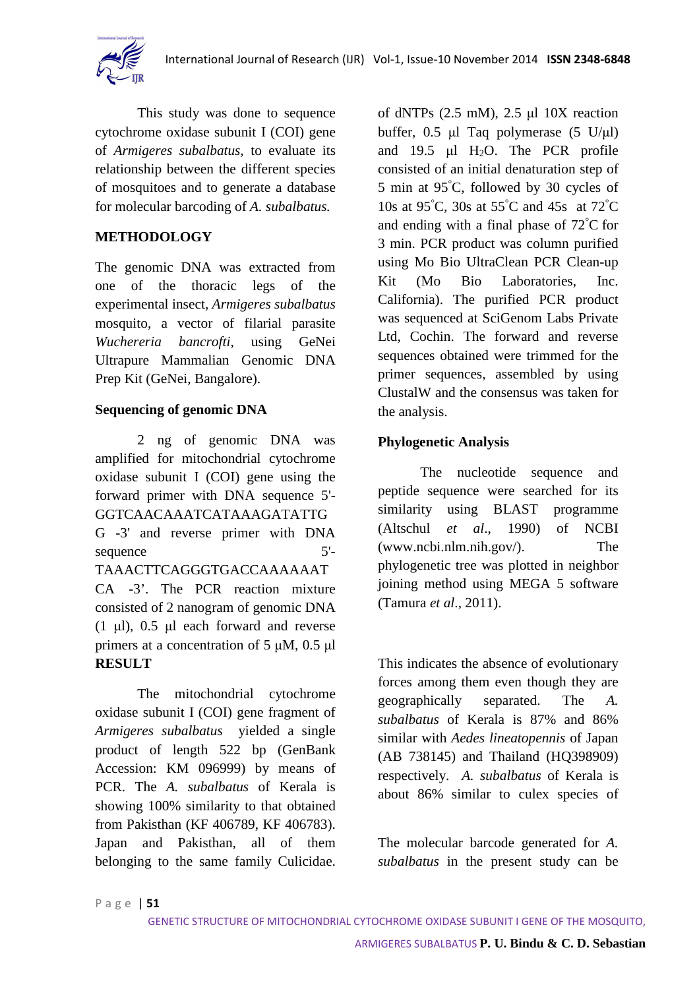

This study was done to sequence cytochrome oxidase subunit I (COI) gene of *Armigeres subalbatus,* to evaluate its relationship between the different species of mosquitoes and to generate a database for molecular barcoding of *A. subalbatus.*

## **METHODOLOGY**

The genomic DNA was extracted from one of the thoracic legs of the experimental insect, *Armigeres subalbatus* mosquito, a vector of filarial parasite *Wuchereria bancrofti*, using GeNei Ultrapure Mammalian Genomic DNA Prep Kit (GeNei, Bangalore).

## **Sequencing of genomic DNA**

2 ng of genomic DNA was amplified for mitochondrial cytochrome oxidase subunit I (COI) gene using the forward primer with DNA sequence 5'- GGTCAACAAATCATAAAGATATTG G -3' and reverse primer with DNA sequence 5'-TAAACTTCAGGGTGACCAAAAAAT CA -3'. The PCR reaction mixture consisted of 2 nanogram of genomic DNA (1 μl), 0.5 μl each forward and reverse primers at a concentration of 5 μM, 0.5 μl **RESULT** 

The mitochondrial cytochrome oxidase subunit I (COI) gene fragment of *Armigeres subalbatus* yielded a single product of length 522 bp (GenBank Accession: KM 096999) by means of PCR. The *A. subalbatus* of Kerala is showing 100% similarity to that obtained from Pakisthan (KF 406789, KF 406783). Japan and Pakisthan, all of them belonging to the same family Culicidae.

of dNTPs (2.5 mM), 2.5 μl 10X reaction buffer, 0.5 μl Taq polymerase (5 U/μl) and 19.5  $\mu$ l H<sub>2</sub>O. The PCR profile consisted of an initial denaturation step of 5 min at 95°C, followed by 30 cycles of 10s at 95°C, 30s at 55°C and 45s at 72°C and ending with a final phase of 72°C for 3 min. PCR product was column purified using Mo Bio UltraClean PCR Clean-up Kit (Mo Bio Laboratories, Inc. California). The purified PCR product was sequenced at SciGenom Labs Private Ltd, Cochin. The forward and reverse sequences obtained were trimmed for the primer sequences, assembled by using ClustalW and the consensus was taken for the analysis.

## **Phylogenetic Analysis**

The nucleotide sequence and peptide sequence were searched for its similarity using BLAST programme (Altschul *et al*., 1990) of NCBI (www.ncbi.nlm.nih.gov/). The phylogenetic tree was plotted in neighbor joining method using MEGA 5 software (Tamura *et al*., 2011).

This indicates the absence of evolutionary forces among them even though they are geographically separated. The *A. subalbatus* of Kerala is 87% and 86% similar with *Aedes lineatopennis* of Japan (AB 738145) and Thailand (HQ398909) respectively. *A. subalbatus* of Kerala is about 86% similar to culex species of

The molecular barcode generated for *A. subalbatus* in the present study can be

P a g e | **51**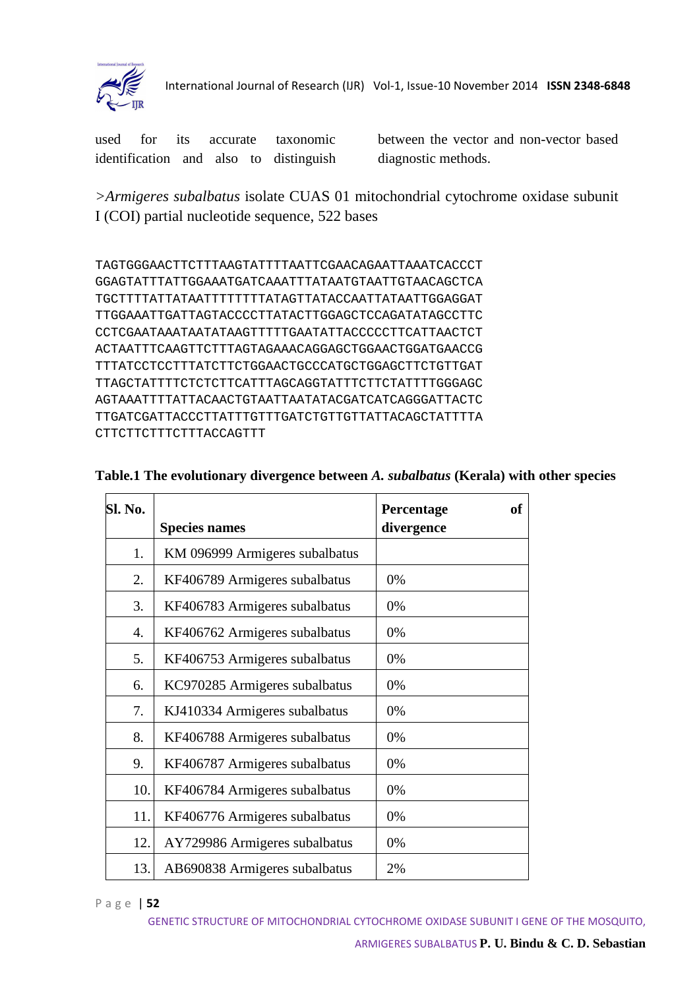

International Journal of Research (IJR) Vol-1, Issue-10 November 2014 **ISSN 2348-6848**

used for its accurate taxonomic identification and also to distinguish between the vector and non-vector based diagnostic methods.

*>Armigeres subalbatus* isolate CUAS 01 mitochondrial cytochrome oxidase subunit I (COI) partial nucleotide sequence, 522 bases

```
TAGTGGGAACTTCTTTAAGTATTTTAATTCGAACAGAATTAAATCACCCT 
GGAGTATTTATTGGAAATGATCAAATTTATAATGTAATTGTAACAGCTCA 
TGCTTTTATTATAATTTTTTTTATAGTTATACCAATTATAATTGGAGGAT 
TTGGAAATTGATTAGTACCCCTTATACTTGGAGCTCCAGATATAGCCTTC 
CCTCGAATAAATAATATAAGTTTTTGAATATTACCCCCTTCATTAACTCT 
ACTAATTTCAAGTTCTTTAGTAGAAACAGGAGCTGGAACTGGATGAACCG 
TTTATCCTCCTTTATCTTCTGGAACTGCCCATGCTGGAGCTTCTGTTGAT 
TTAGCTATTTTCTCTCTTCATTTAGCAGGTATTTCTTCTATTTTGGGAGC 
AGTAAATTTTATTACAACTGTAATTAATATACGATCATCAGGGATTACTC 
TTGATCGATTACCCTTATTTGTTTGATCTGTTGTTATTACAGCTATTTTA 
CTTCTTCTTTCTTTACCAGTTT
```

| <b>Sl. No.</b> |                                | <b>of</b><br>Percentage |
|----------------|--------------------------------|-------------------------|
|                | <b>Species names</b>           | divergence              |
| 1.             | KM 096999 Armigeres subalbatus |                         |
| 2.             | KF406789 Armigeres subalbatus  | 0%                      |
| 3.             | KF406783 Armigeres subalbatus  | 0%                      |
| 4.             | KF406762 Armigeres subalbatus  | 0%                      |
| 5.             | KF406753 Armigeres subalbatus  | 0%                      |
| 6.             | KC970285 Armigeres subalbatus  | 0%                      |
| 7.             | KJ410334 Armigeres subalbatus  | 0%                      |
| 8.             | KF406788 Armigeres subalbatus  | 0%                      |
| 9.             | KF406787 Armigeres subalbatus  | 0%                      |
| 10.            | KF406784 Armigeres subalbatus  | 0%                      |
| 11.            | KF406776 Armigeres subalbatus  | 0%                      |
| 12.            | AY729986 Armigeres subalbatus  | 0%                      |
| 13.            | AB690838 Armigeres subalbatus  | 2%                      |

## **Table.1 The evolutionary divergence between** *A. subalbatus* **(Kerala) with other species**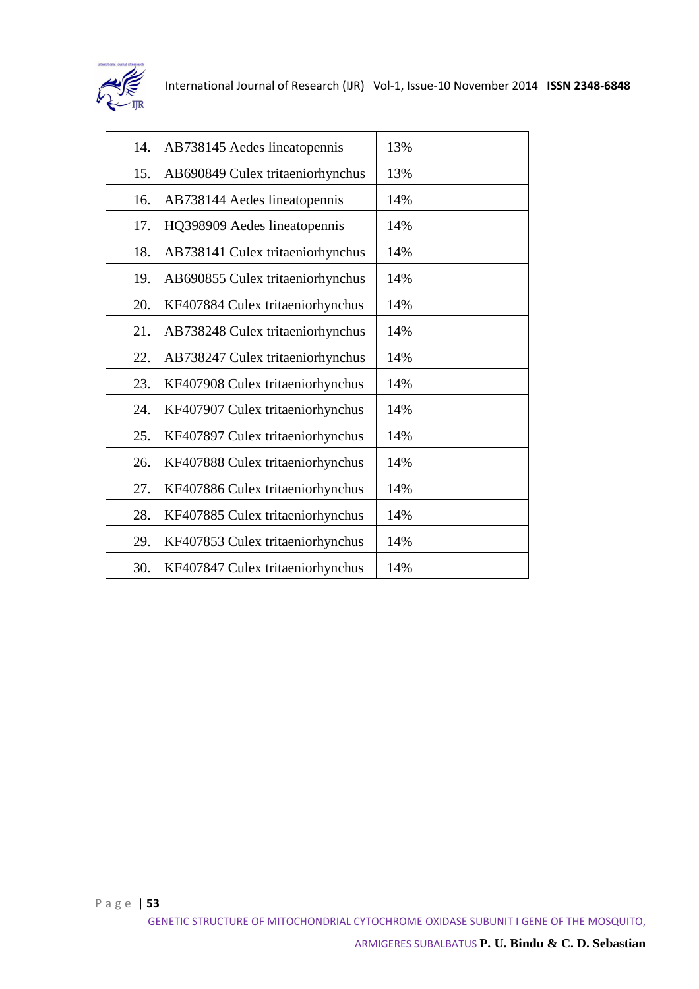

| 14. | AB738145 Aedes lineatopennis     | 13% |
|-----|----------------------------------|-----|
| 15. | AB690849 Culex tritaeniorhynchus | 13% |
| 16. | AB738144 Aedes lineatopennis     | 14% |
| 17. | HQ398909 Aedes lineatopennis     | 14% |
| 18. | AB738141 Culex tritaeniorhynchus | 14% |
| 19. | AB690855 Culex tritaeniorhynchus | 14% |
| 20. | KF407884 Culex tritaeniorhynchus | 14% |
| 21. | AB738248 Culex tritaeniorhynchus | 14% |
| 22. | AB738247 Culex tritaeniorhynchus | 14% |
| 23. | KF407908 Culex tritaeniorhynchus | 14% |
| 24. | KF407907 Culex tritaeniorhynchus | 14% |
| 25. | KF407897 Culex tritaeniorhynchus | 14% |
| 26. | KF407888 Culex tritaeniorhynchus | 14% |
| 27. | KF407886 Culex tritaeniorhynchus | 14% |
| 28. | KF407885 Culex tritaeniorhynchus | 14% |
| 29. | KF407853 Culex tritaeniorhynchus | 14% |
| 30. | KF407847 Culex tritaeniorhynchus | 14% |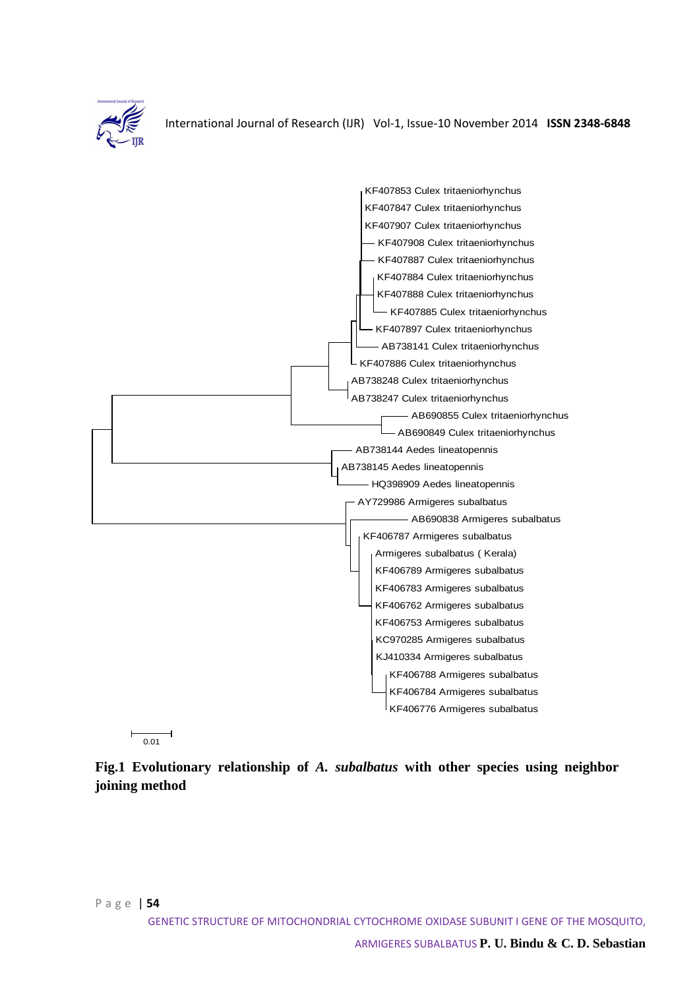

International Journal of Research (IJR) Vol-1, Issue-10 November 2014 **ISSN 2348-6848**



 $\frac{1}{0.01}$ 

**Fig.1 Evolutionary relationship of** *A. subalbatus* **with other species using neighbor joining method**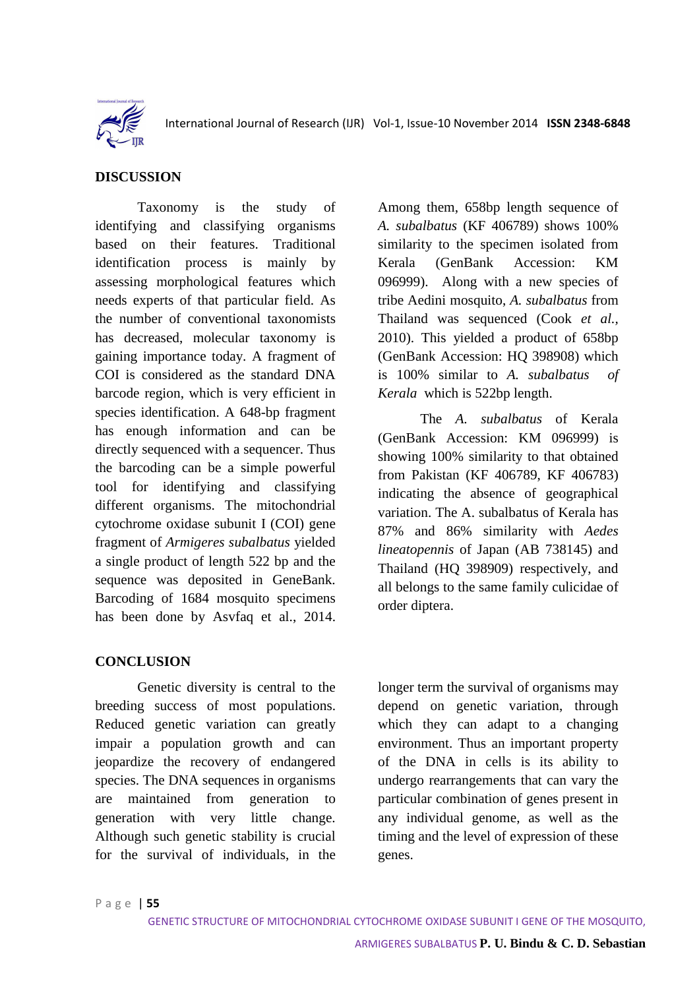

## **DISCUSSION**

Taxonomy is the study of identifying and classifying organisms based on their features. Traditional identification process is mainly by assessing morphological features which needs experts of that particular field. As the number of conventional taxonomists has decreased, molecular taxonomy is gaining importance today. A fragment of COI is considered as the standard DNA barcode region, which is very efficient in species identification. A 648-bp fragment has enough information and can be directly sequenced with a sequencer. Thus the barcoding can be a simple powerful tool for identifying and classifying different organisms. The mitochondrial cytochrome oxidase subunit I (COI) gene fragment of *Armigeres subalbatus* yielded a single product of length 522 bp and the sequence was deposited in GeneBank. Barcoding of 1684 mosquito specimens has been done by Asvfaq et al., 2014.

## **CONCLUSION**

Genetic diversity is central to the breeding success of most populations. Reduced genetic variation can greatly impair a population growth and can jeopardize the recovery of endangered species. The DNA sequences in organisms are maintained from generation to generation with very little change. Although such genetic stability is crucial for the survival of individuals, in the Among them, 658bp length sequence of *A. subalbatus* (KF 406789) shows 100% similarity to the specimen isolated from Kerala (GenBank Accession: KM 096999). Along with a new species of tribe Aedini mosquito, *A. subalbatus* from Thailand was sequenced (Cook *et al.,*  2010). This yielded a product of 658bp (GenBank Accession: HQ 398908) which is 100% similar to *A. subalbatus of Kerala* which is 522bp length.

The *A. subalbatus* of Kerala (GenBank Accession: KM 096999) is showing 100% similarity to that obtained from Pakistan (KF 406789, KF 406783) indicating the absence of geographical variation. The A. subalbatus of Kerala has 87% and 86% similarity with *Aedes lineatopennis* of Japan (AB 738145) and Thailand (HQ 398909) respectively, and all belongs to the same family culicidae of order diptera.

longer term the survival of organisms may depend on genetic variation, through which they can adapt to a changing environment. Thus an important property of the DNA in cells is its ability to undergo rearrangements that can vary the particular combination of genes present in any individual genome, as well as the timing and the level of expression of these genes.